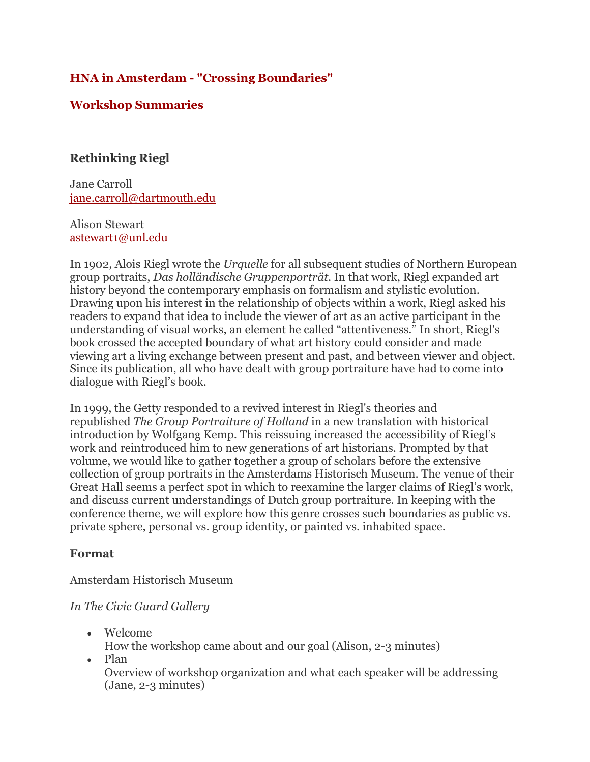# **HNA in Amsterdam - "Crossing Boundaries"**

# **Workshop Summaries**

## **Rethinking Riegl**

Jane Carroll jane.carroll@dartmouth.edu

### Alison Stewart astewart1@unl.edu

In 1902, Alois Riegl wrote the *Urquelle* for all subsequent studies of Northern European group portraits, *Das holländische Gruppenporträt*. In that work, Riegl expanded art history beyond the contemporary emphasis on formalism and stylistic evolution. Drawing upon his interest in the relationship of objects within a work, Riegl asked his readers to expand that idea to include the viewer of art as an active participant in the understanding of visual works, an element he called "attentiveness." In short, Riegl's book crossed the accepted boundary of what art history could consider and made viewing art a living exchange between present and past, and between viewer and object. Since its publication, all who have dealt with group portraiture have had to come into dialogue with Riegl's book.

In 1999, the Getty responded to a revived interest in Riegl's theories and republished *The Group Portraiture of Holland* in a new translation with historical introduction by Wolfgang Kemp. This reissuing increased the accessibility of Riegl's work and reintroduced him to new generations of art historians. Prompted by that volume, we would like to gather together a group of scholars before the extensive collection of group portraits in the Amsterdams Historisch Museum. The venue of their Great Hall seems a perfect spot in which to reexamine the larger claims of Riegl's work, and discuss current understandings of Dutch group portraiture. In keeping with the conference theme, we will explore how this genre crosses such boundaries as public vs. private sphere, personal vs. group identity, or painted vs. inhabited space.

## **Format**

Amsterdam Historisch Museum

## *In The Civic Guard Gallery*

- Welcome
	- How the workshop came about and our goal (Alison, 2-3 minutes)
- Plan

Overview of workshop organization and what each speaker will be addressing (Jane, 2-3 minutes)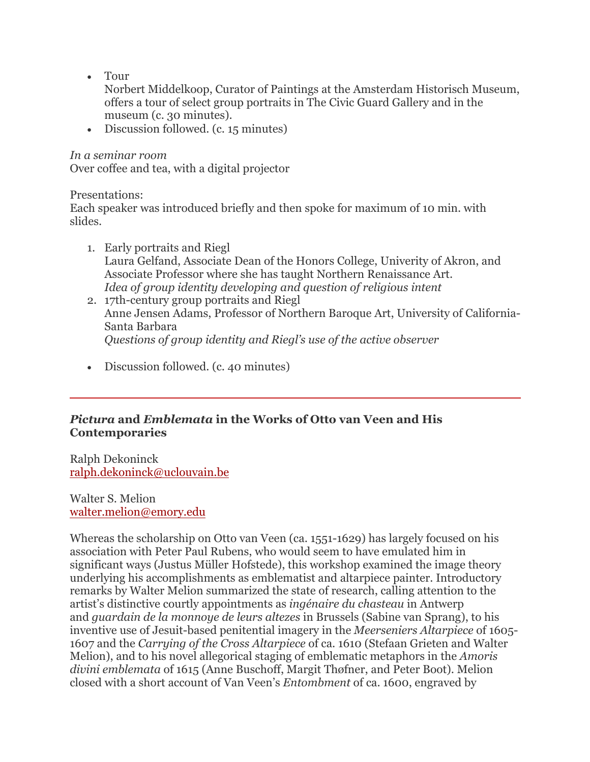• Tour

Norbert Middelkoop, Curator of Paintings at the Amsterdam Historisch Museum, offers a tour of select group portraits in The Civic Guard Gallery and in the museum (c. 30 minutes).

• Discussion followed. (c. 15 minutes)

*In a seminar room*

Over coffee and tea, with a digital projector

Presentations:

Each speaker was introduced briefly and then spoke for maximum of 10 min. with slides.

- 1. Early portraits and Riegl Laura Gelfand, Associate Dean of the Honors College, Univerity of Akron, and Associate Professor where she has taught Northern Renaissance Art. *Idea of group identity developing and question of religious intent*
- 2. 17th-century group portraits and Riegl Anne Jensen Adams, Professor of Northern Baroque Art, University of California-Santa Barbara *Questions of group identity and Riegl's use of the active observer*
- Discussion followed. (c. 40 minutes)

## *Pictura* **and** *Emblemata* **in the Works of Otto van Veen and His Contemporaries**

Ralph Dekoninck ralph.dekoninck@uclouvain.be

Walter S. Melion walter.melion@emory.edu

Whereas the scholarship on Otto van Veen (ca. 1551-1629) has largely focused on his association with Peter Paul Rubens, who would seem to have emulated him in significant ways (Justus Müller Hofstede), this workshop examined the image theory underlying his accomplishments as emblematist and altarpiece painter. Introductory remarks by Walter Melion summarized the state of research, calling attention to the artist's distinctive courtly appointments as *ingénaire du chasteau* in Antwerp and *guardain de la monnoye de leurs altezes* in Brussels (Sabine van Sprang), to his inventive use of Jesuit-based penitential imagery in the *Meerseniers Altarpiece* of 1605- 1607 and the *Carrying of the Cross Altarpiece* of ca. 1610 (Stefaan Grieten and Walter Melion), and to his novel allegorical staging of emblematic metaphors in the *Amoris divini emblemata* of 1615 (Anne Buschoff, Margit Thøfner, and Peter Boot). Melion closed with a short account of Van Veen's *Entombment* of ca. 1600, engraved by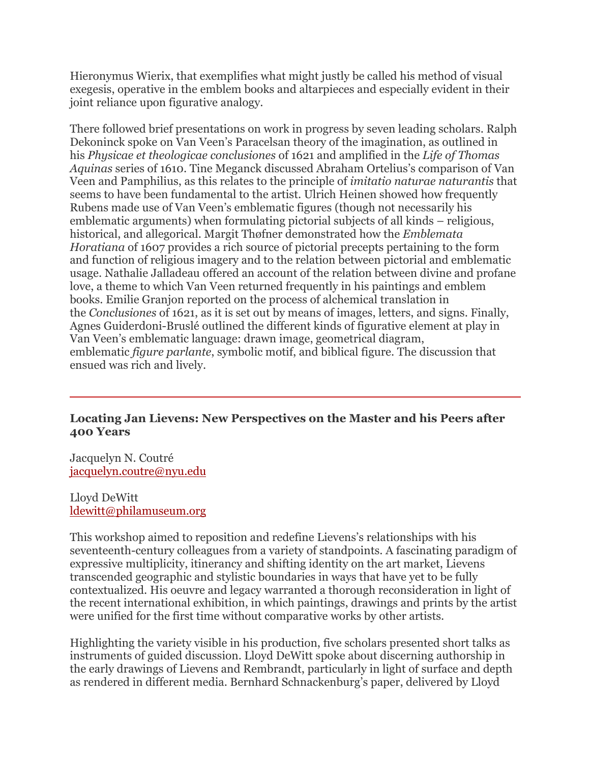Hieronymus Wierix, that exemplifies what might justly be called his method of visual exegesis, operative in the emblem books and altarpieces and especially evident in their joint reliance upon figurative analogy.

There followed brief presentations on work in progress by seven leading scholars. Ralph Dekoninck spoke on Van Veen's Paracelsan theory of the imagination, as outlined in his *Physicae et theologicae conclusiones* of 1621 and amplified in the *Life of Thomas Aquinas* series of 1610. Tine Meganck discussed Abraham Ortelius's comparison of Van Veen and Pamphilius, as this relates to the principle of *imitatio naturae naturantis* that seems to have been fundamental to the artist. Ulrich Heinen showed how frequently Rubens made use of Van Veen's emblematic figures (though not necessarily his emblematic arguments) when formulating pictorial subjects of all kinds – religious, historical, and allegorical. Margit Thøfner demonstrated how the *Emblemata Horatiana* of 1607 provides a rich source of pictorial precepts pertaining to the form and function of religious imagery and to the relation between pictorial and emblematic usage. Nathalie Jalladeau offered an account of the relation between divine and profane love, a theme to which Van Veen returned frequently in his paintings and emblem books. Emilie Granjon reported on the process of alchemical translation in the *Conclusiones* of 1621, as it is set out by means of images, letters, and signs. Finally, Agnes Guiderdoni-Bruslé outlined the different kinds of figurative element at play in Van Veen's emblematic language: drawn image, geometrical diagram, emblematic *figure parlante*, symbolic motif, and biblical figure. The discussion that ensued was rich and lively.

## **Locating Jan Lievens: New Perspectives on the Master and his Peers after 400 Years**

Jacquelyn N. Coutré jacquelyn.coutre@nyu.edu

Lloyd DeWitt ldewitt@philamuseum.org

This workshop aimed to reposition and redefine Lievens's relationships with his seventeenth-century colleagues from a variety of standpoints. A fascinating paradigm of expressive multiplicity, itinerancy and shifting identity on the art market, Lievens transcended geographic and stylistic boundaries in ways that have yet to be fully contextualized. His oeuvre and legacy warranted a thorough reconsideration in light of the recent international exhibition, in which paintings, drawings and prints by the artist were unified for the first time without comparative works by other artists.

Highlighting the variety visible in his production, five scholars presented short talks as instruments of guided discussion. Lloyd DeWitt spoke about discerning authorship in the early drawings of Lievens and Rembrandt, particularly in light of surface and depth as rendered in different media. Bernhard Schnackenburg's paper, delivered by Lloyd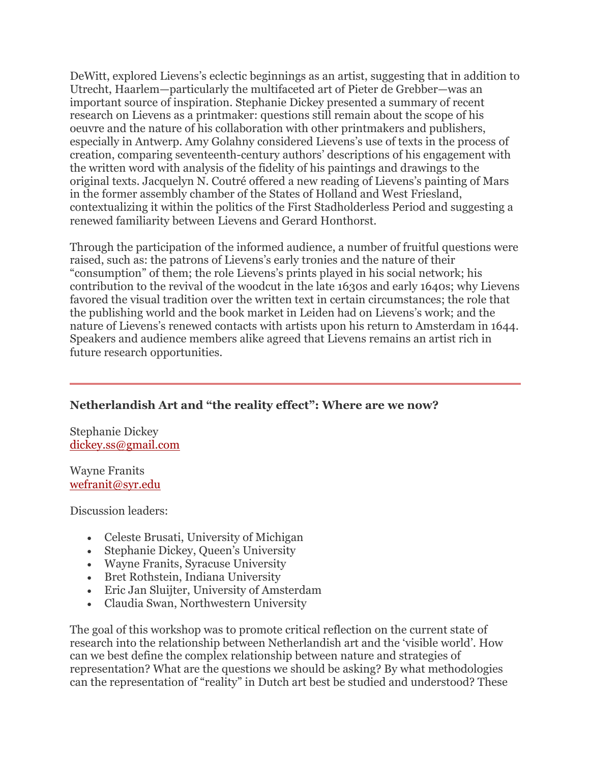DeWitt, explored Lievens's eclectic beginnings as an artist, suggesting that in addition to Utrecht, Haarlem—particularly the multifaceted art of Pieter de Grebber—was an important source of inspiration. Stephanie Dickey presented a summary of recent research on Lievens as a printmaker: questions still remain about the scope of his oeuvre and the nature of his collaboration with other printmakers and publishers, especially in Antwerp. Amy Golahny considered Lievens's use of texts in the process of creation, comparing seventeenth-century authors' descriptions of his engagement with the written word with analysis of the fidelity of his paintings and drawings to the original texts. Jacquelyn N. Coutré offered a new reading of Lievens's painting of Mars in the former assembly chamber of the States of Holland and West Friesland, contextualizing it within the politics of the First Stadholderless Period and suggesting a renewed familiarity between Lievens and Gerard Honthorst.

Through the participation of the informed audience, a number of fruitful questions were raised, such as: the patrons of Lievens's early tronies and the nature of their "consumption" of them; the role Lievens's prints played in his social network; his contribution to the revival of the woodcut in the late 1630s and early 1640s; why Lievens favored the visual tradition over the written text in certain circumstances; the role that the publishing world and the book market in Leiden had on Lievens's work; and the nature of Lievens's renewed contacts with artists upon his return to Amsterdam in 1644. Speakers and audience members alike agreed that Lievens remains an artist rich in future research opportunities.

## **Netherlandish Art and "the reality effect": Where are we now?**

Stephanie Dickey dickey.ss@gmail.com

Wayne Franits wefranit@syr.edu

Discussion leaders:

- Celeste Brusati, University of Michigan
- Stephanie Dickey, Queen's University
- Wayne Franits, Syracuse University
- Bret Rothstein, Indiana University
- Eric Jan Sluijter, University of Amsterdam
- Claudia Swan, Northwestern University

The goal of this workshop was to promote critical reflection on the current state of research into the relationship between Netherlandish art and the 'visible world'. How can we best define the complex relationship between nature and strategies of representation? What are the questions we should be asking? By what methodologies can the representation of "reality" in Dutch art best be studied and understood? These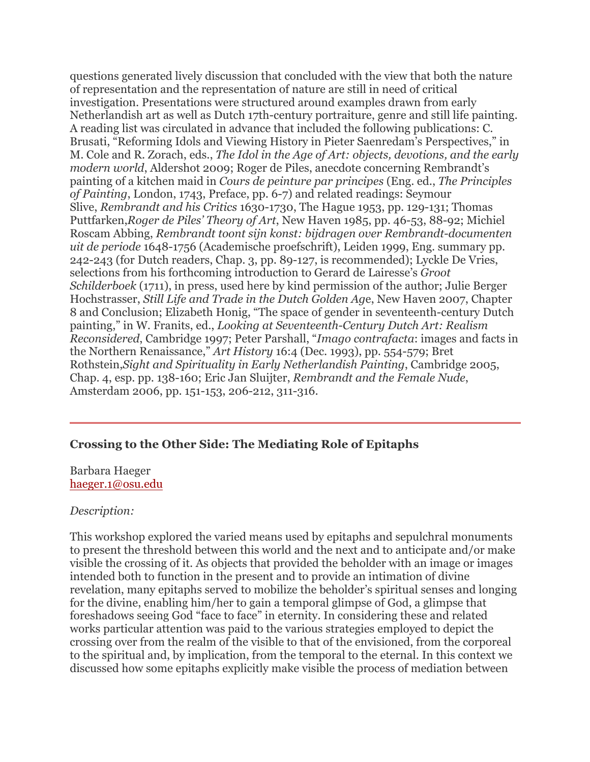questions generated lively discussion that concluded with the view that both the nature of representation and the representation of nature are still in need of critical investigation. Presentations were structured around examples drawn from early Netherlandish art as well as Dutch 17th-century portraiture, genre and still life painting. A reading list was circulated in advance that included the following publications: C. Brusati, "Reforming Idols and Viewing History in Pieter Saenredam's Perspectives," in M. Cole and R. Zorach, eds., *The Idol in the Age of Art: objects, devotions, and the early modern world*, Aldershot 2009; Roger de Piles, anecdote concerning Rembrandt's painting of a kitchen maid in *Cours de peinture par principes* (Eng. ed., *The Principles of Painting*, London, 1743, Preface, pp. 6-7) and related readings: Seymour Slive, *Rembrandt and his Critics* 1630-1730, The Hague 1953, pp. 129-131; Thomas Puttfarken,*Roger de Piles' Theory of Art*, New Haven 1985, pp. 46-53, 88-92; Michiel Roscam Abbing, *Rembrandt toont sijn konst: bijdragen over Rembrandt-documenten uit de periode* 1648-1756 (Academische proefschrift), Leiden 1999, Eng. summary pp. 242-243 (for Dutch readers, Chap. 3, pp. 89-127, is recommended); Lyckle De Vries, selections from his forthcoming introduction to Gerard de Lairesse's *Groot Schilderboek* (1711), in press, used here by kind permission of the author; Julie Berger Hochstrasser, *Still Life and Trade in the Dutch Golden Ag*e, New Haven 2007, Chapter 8 and Conclusion; Elizabeth Honig, "The space of gender in seventeenth-century Dutch painting," in W. Franits, ed., *Looking at Seventeenth-Century Dutch Art: Realism Reconsidered*, Cambridge 1997; Peter Parshall, "*Imago contrafacta*: images and facts in the Northern Renaissance," *Art History* 16:4 (Dec. 1993), pp. 554-579; Bret Rothstein,*Sight and Spirituality in Early Netherlandish Painting*, Cambridge 2005, Chap. 4, esp. pp. 138-160; Eric Jan Sluijter, *Rembrandt and the Female Nude*, Amsterdam 2006, pp. 151-153, 206-212, 311-316.

### **Crossing to the Other Side: The Mediating Role of Epitaphs**

Barbara Haeger haeger.1@osu.edu

#### *Description:*

This workshop explored the varied means used by epitaphs and sepulchral monuments to present the threshold between this world and the next and to anticipate and/or make visible the crossing of it. As objects that provided the beholder with an image or images intended both to function in the present and to provide an intimation of divine revelation, many epitaphs served to mobilize the beholder's spiritual senses and longing for the divine, enabling him/her to gain a temporal glimpse of God, a glimpse that foreshadows seeing God "face to face" in eternity. In considering these and related works particular attention was paid to the various strategies employed to depict the crossing over from the realm of the visible to that of the envisioned, from the corporeal to the spiritual and, by implication, from the temporal to the eternal. In this context we discussed how some epitaphs explicitly make visible the process of mediation between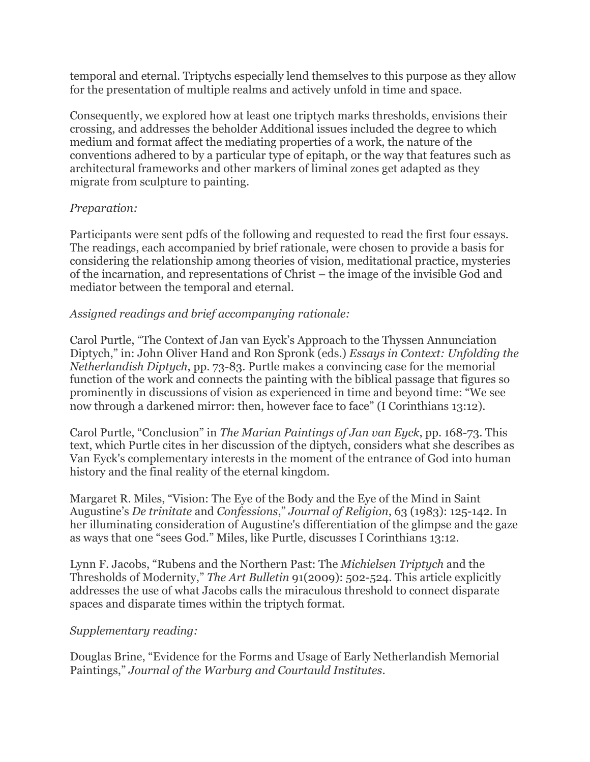temporal and eternal. Triptychs especially lend themselves to this purpose as they allow for the presentation of multiple realms and actively unfold in time and space.

Consequently, we explored how at least one triptych marks thresholds, envisions their crossing, and addresses the beholder Additional issues included the degree to which medium and format affect the mediating properties of a work, the nature of the conventions adhered to by a particular type of epitaph, or the way that features such as architectural frameworks and other markers of liminal zones get adapted as they migrate from sculpture to painting.

## *Preparation:*

Participants were sent pdfs of the following and requested to read the first four essays. The readings, each accompanied by brief rationale, were chosen to provide a basis for considering the relationship among theories of vision, meditational practice, mysteries of the incarnation, and representations of Christ – the image of the invisible God and mediator between the temporal and eternal.

# *Assigned readings and brief accompanying rationale:*

Carol Purtle, "The Context of Jan van Eyck's Approach to the Thyssen Annunciation Diptych," in: John Oliver Hand and Ron Spronk (eds.) *Essays in Context: Unfolding the Netherlandish Diptych*, pp. 73-83. Purtle makes a convincing case for the memorial function of the work and connects the painting with the biblical passage that figures so prominently in discussions of vision as experienced in time and beyond time: "We see now through a darkened mirror: then, however face to face" (I Corinthians 13:12).

Carol Purtle, "Conclusion" in *The Marian Paintings of Jan van Eyck*, pp. 168-73. This text, which Purtle cites in her discussion of the diptych, considers what she describes as Van Eyck's complementary interests in the moment of the entrance of God into human history and the final reality of the eternal kingdom.

Margaret R. Miles, "Vision: The Eye of the Body and the Eye of the Mind in Saint Augustine's *De trinitate* and *Confessions*," *Journal of Religion*, 63 (1983): 125-142. In her illuminating consideration of Augustine's differentiation of the glimpse and the gaze as ways that one "sees God." Miles, like Purtle, discusses I Corinthians 13:12.

Lynn F. Jacobs, "Rubens and the Northern Past: The *Michielsen Triptych* and the Thresholds of Modernity," *The Art Bulletin* 91(2009): 502-524. This article explicitly addresses the use of what Jacobs calls the miraculous threshold to connect disparate spaces and disparate times within the triptych format.

## *Supplementary reading:*

Douglas Brine, "Evidence for the Forms and Usage of Early Netherlandish Memorial Paintings," *Journal of the Warburg and Courtauld Institutes*.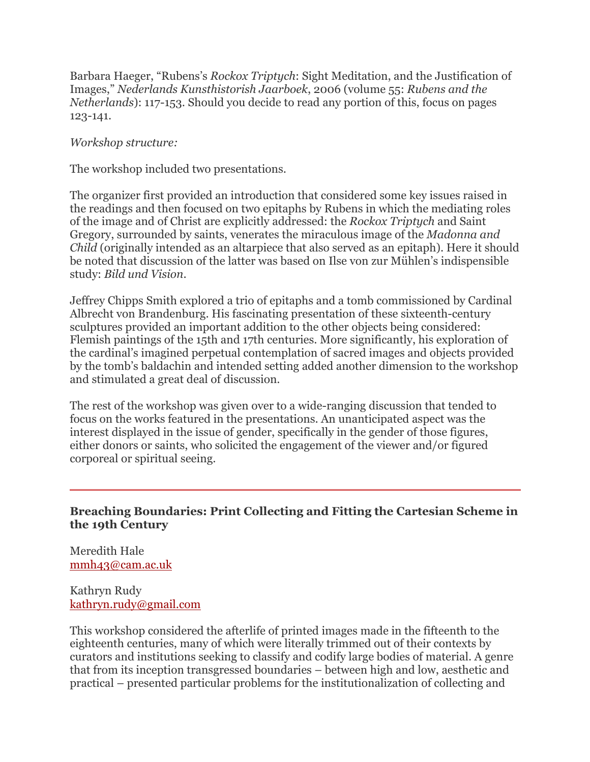Barbara Haeger, "Rubens's *Rockox Triptych*: Sight Meditation, and the Justification of Images," *Nederlands Kunsthistorish Jaarboek*, 2006 (volume 55: *Rubens and the Netherlands*): 117-153. Should you decide to read any portion of this, focus on pages 123-141.

*Workshop structure:*

The workshop included two presentations.

The organizer first provided an introduction that considered some key issues raised in the readings and then focused on two epitaphs by Rubens in which the mediating roles of the image and of Christ are explicitly addressed: the *Rockox Triptych* and Saint Gregory, surrounded by saints, venerates the miraculous image of the *Madonna and Child* (originally intended as an altarpiece that also served as an epitaph). Here it should be noted that discussion of the latter was based on Ilse von zur Mühlen's indispensible study: *Bild und Vision*.

Jeffrey Chipps Smith explored a trio of epitaphs and a tomb commissioned by Cardinal Albrecht von Brandenburg. His fascinating presentation of these sixteenth-century sculptures provided an important addition to the other objects being considered: Flemish paintings of the 15th and 17th centuries. More significantly, his exploration of the cardinal's imagined perpetual contemplation of sacred images and objects provided by the tomb's baldachin and intended setting added another dimension to the workshop and stimulated a great deal of discussion.

The rest of the workshop was given over to a wide-ranging discussion that tended to focus on the works featured in the presentations. An unanticipated aspect was the interest displayed in the issue of gender, specifically in the gender of those figures, either donors or saints, who solicited the engagement of the viewer and/or figured corporeal or spiritual seeing.

## **Breaching Boundaries: Print Collecting and Fitting the Cartesian Scheme in the 19th Century**

Meredith Hale mmh43@cam.ac.uk

Kathryn Rudy kathryn.rudy@gmail.com

This workshop considered the afterlife of printed images made in the fifteenth to the eighteenth centuries, many of which were literally trimmed out of their contexts by curators and institutions seeking to classify and codify large bodies of material. A genre that from its inception transgressed boundaries – between high and low, aesthetic and practical – presented particular problems for the institutionalization of collecting and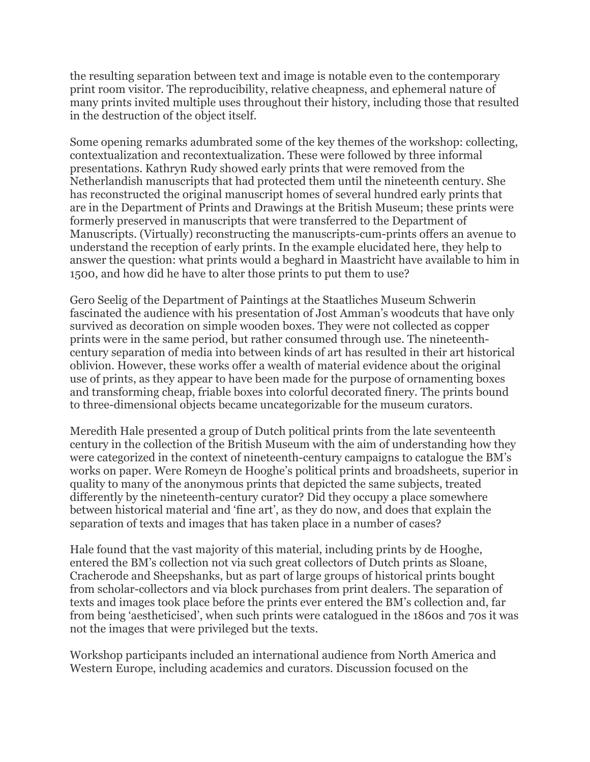the resulting separation between text and image is notable even to the contemporary print room visitor. The reproducibility, relative cheapness, and ephemeral nature of many prints invited multiple uses throughout their history, including those that resulted in the destruction of the object itself.

Some opening remarks adumbrated some of the key themes of the workshop: collecting, contextualization and recontextualization. These were followed by three informal presentations. Kathryn Rudy showed early prints that were removed from the Netherlandish manuscripts that had protected them until the nineteenth century. She has reconstructed the original manuscript homes of several hundred early prints that are in the Department of Prints and Drawings at the British Museum; these prints were formerly preserved in manuscripts that were transferred to the Department of Manuscripts. (Virtually) reconstructing the manuscripts-cum-prints offers an avenue to understand the reception of early prints. In the example elucidated here, they help to answer the question: what prints would a beghard in Maastricht have available to him in 1500, and how did he have to alter those prints to put them to use?

Gero Seelig of the Department of Paintings at the Staatliches Museum Schwerin fascinated the audience with his presentation of Jost Amman's woodcuts that have only survived as decoration on simple wooden boxes. They were not collected as copper prints were in the same period, but rather consumed through use. The nineteenthcentury separation of media into between kinds of art has resulted in their art historical oblivion. However, these works offer a wealth of material evidence about the original use of prints, as they appear to have been made for the purpose of ornamenting boxes and transforming cheap, friable boxes into colorful decorated finery. The prints bound to three-dimensional objects became uncategorizable for the museum curators.

Meredith Hale presented a group of Dutch political prints from the late seventeenth century in the collection of the British Museum with the aim of understanding how they were categorized in the context of nineteenth-century campaigns to catalogue the BM's works on paper. Were Romeyn de Hooghe's political prints and broadsheets, superior in quality to many of the anonymous prints that depicted the same subjects, treated differently by the nineteenth-century curator? Did they occupy a place somewhere between historical material and 'fine art', as they do now, and does that explain the separation of texts and images that has taken place in a number of cases?

Hale found that the vast majority of this material, including prints by de Hooghe, entered the BM's collection not via such great collectors of Dutch prints as Sloane, Cracherode and Sheepshanks, but as part of large groups of historical prints bought from scholar-collectors and via block purchases from print dealers. The separation of texts and images took place before the prints ever entered the BM's collection and, far from being 'aestheticised', when such prints were catalogued in the 1860s and 70s it was not the images that were privileged but the texts.

Workshop participants included an international audience from North America and Western Europe, including academics and curators. Discussion focused on the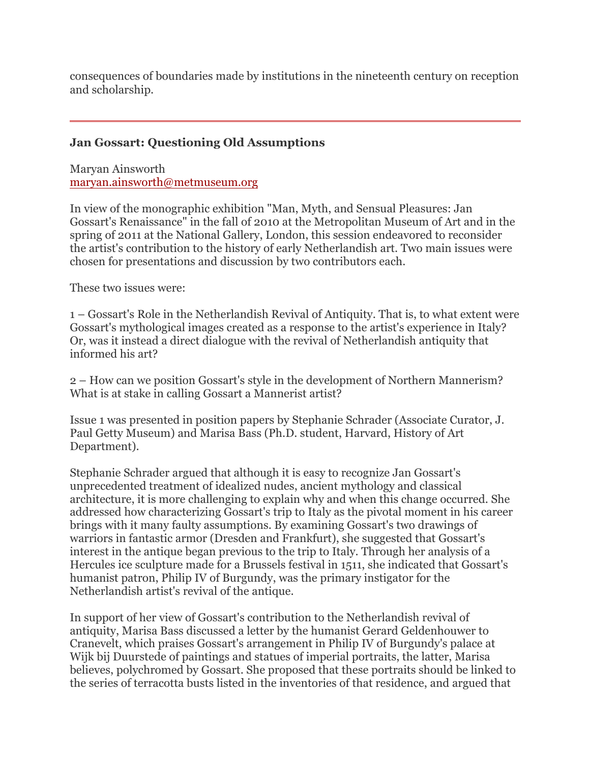consequences of boundaries made by institutions in the nineteenth century on reception and scholarship.

## **Jan Gossart: Questioning Old Assumptions**

Maryan Ainsworth maryan.ainsworth@metmuseum.org

In view of the monographic exhibition "Man, Myth, and Sensual Pleasures: Jan Gossart's Renaissance" in the fall of 2010 at the Metropolitan Museum of Art and in the spring of 2011 at the National Gallery, London, this session endeavored to reconsider the artist's contribution to the history of early Netherlandish art. Two main issues were chosen for presentations and discussion by two contributors each.

These two issues were:

1 – Gossart's Role in the Netherlandish Revival of Antiquity. That is, to what extent were Gossart's mythological images created as a response to the artist's experience in Italy? Or, was it instead a direct dialogue with the revival of Netherlandish antiquity that informed his art?

2 – How can we position Gossart's style in the development of Northern Mannerism? What is at stake in calling Gossart a Mannerist artist?

Issue 1 was presented in position papers by Stephanie Schrader (Associate Curator, J. Paul Getty Museum) and Marisa Bass (Ph.D. student, Harvard, History of Art Department).

Stephanie Schrader argued that although it is easy to recognize Jan Gossart's unprecedented treatment of idealized nudes, ancient mythology and classical architecture, it is more challenging to explain why and when this change occurred. She addressed how characterizing Gossart's trip to Italy as the pivotal moment in his career brings with it many faulty assumptions. By examining Gossart's two drawings of warriors in fantastic armor (Dresden and Frankfurt), she suggested that Gossart's interest in the antique began previous to the trip to Italy. Through her analysis of a Hercules ice sculpture made for a Brussels festival in 1511, she indicated that Gossart's humanist patron, Philip IV of Burgundy, was the primary instigator for the Netherlandish artist's revival of the antique.

In support of her view of Gossart's contribution to the Netherlandish revival of antiquity, Marisa Bass discussed a letter by the humanist Gerard Geldenhouwer to Cranevelt, which praises Gossart's arrangement in Philip IV of Burgundy's palace at Wijk bij Duurstede of paintings and statues of imperial portraits, the latter, Marisa believes, polychromed by Gossart. She proposed that these portraits should be linked to the series of terracotta busts listed in the inventories of that residence, and argued that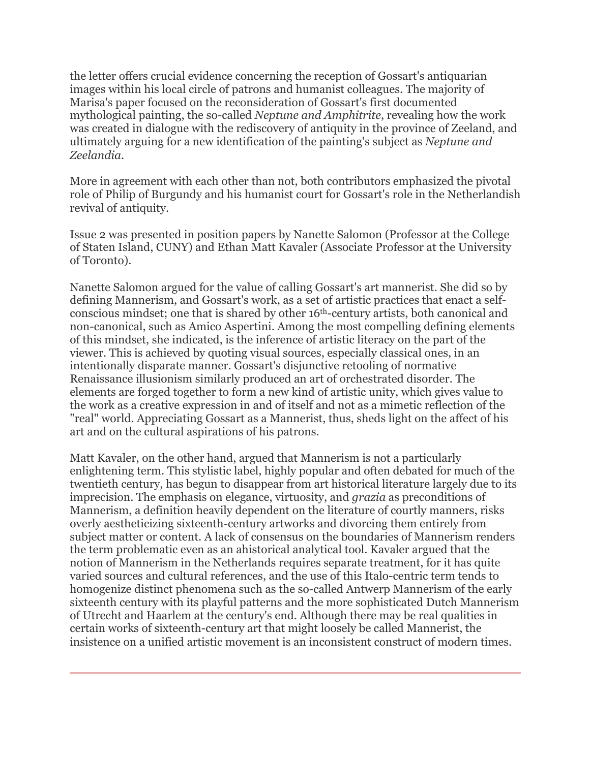the letter offers crucial evidence concerning the reception of Gossart's antiquarian images within his local circle of patrons and humanist colleagues. The majority of Marisa's paper focused on the reconsideration of Gossart's first documented mythological painting, the so-called *Neptune and Amphitrite*, revealing how the work was created in dialogue with the rediscovery of antiquity in the province of Zeeland, and ultimately arguing for a new identification of the painting's subject as *Neptune and Zeelandia*.

More in agreement with each other than not, both contributors emphasized the pivotal role of Philip of Burgundy and his humanist court for Gossart's role in the Netherlandish revival of antiquity.

Issue 2 was presented in position papers by Nanette Salomon (Professor at the College of Staten Island, CUNY) and Ethan Matt Kavaler (Associate Professor at the University of Toronto).

Nanette Salomon argued for the value of calling Gossart's art mannerist. She did so by defining Mannerism, and Gossart's work, as a set of artistic practices that enact a selfconscious mindset; one that is shared by other 16th-century artists, both canonical and non-canonical, such as Amico Aspertini. Among the most compelling defining elements of this mindset, she indicated, is the inference of artistic literacy on the part of the viewer. This is achieved by quoting visual sources, especially classical ones, in an intentionally disparate manner. Gossart's disjunctive retooling of normative Renaissance illusionism similarly produced an art of orchestrated disorder. The elements are forged together to form a new kind of artistic unity, which gives value to the work as a creative expression in and of itself and not as a mimetic reflection of the "real" world. Appreciating Gossart as a Mannerist, thus, sheds light on the affect of his art and on the cultural aspirations of his patrons.

Matt Kavaler, on the other hand, argued that Mannerism is not a particularly enlightening term. This stylistic label, highly popular and often debated for much of the twentieth century, has begun to disappear from art historical literature largely due to its imprecision. The emphasis on elegance, virtuosity, and *grazia* as preconditions of Mannerism, a definition heavily dependent on the literature of courtly manners, risks overly aestheticizing sixteenth-century artworks and divorcing them entirely from subject matter or content. A lack of consensus on the boundaries of Mannerism renders the term problematic even as an ahistorical analytical tool. Kavaler argued that the notion of Mannerism in the Netherlands requires separate treatment, for it has quite varied sources and cultural references, and the use of this Italo-centric term tends to homogenize distinct phenomena such as the so-called Antwerp Mannerism of the early sixteenth century with its playful patterns and the more sophisticated Dutch Mannerism of Utrecht and Haarlem at the century's end. Although there may be real qualities in certain works of sixteenth-century art that might loosely be called Mannerist, the insistence on a unified artistic movement is an inconsistent construct of modern times.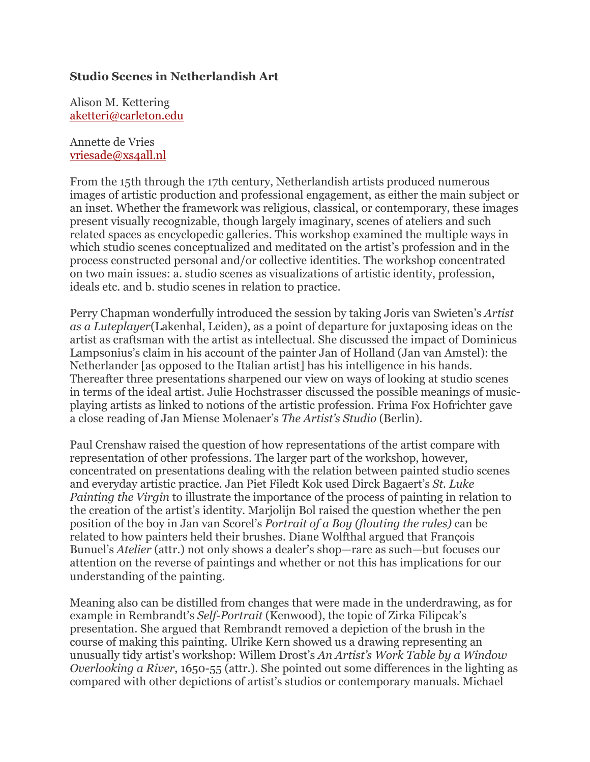### **Studio Scenes in Netherlandish Art**

Alison M. Kettering aketteri@carleton.edu

#### Annette de Vries vriesade@xs4all.nl

From the 15th through the 17th century, Netherlandish artists produced numerous images of artistic production and professional engagement, as either the main subject or an inset. Whether the framework was religious, classical, or contemporary, these images present visually recognizable, though largely imaginary, scenes of ateliers and such related spaces as encyclopedic galleries. This workshop examined the multiple ways in which studio scenes conceptualized and meditated on the artist's profession and in the process constructed personal and/or collective identities. The workshop concentrated on two main issues: a. studio scenes as visualizations of artistic identity, profession, ideals etc. and b. studio scenes in relation to practice.

Perry Chapman wonderfully introduced the session by taking Joris van Swieten's *Artist as a Luteplayer*(Lakenhal, Leiden), as a point of departure for juxtaposing ideas on the artist as craftsman with the artist as intellectual. She discussed the impact of Dominicus Lampsonius's claim in his account of the painter Jan of Holland (Jan van Amstel): the Netherlander [as opposed to the Italian artist] has his intelligence in his hands. Thereafter three presentations sharpened our view on ways of looking at studio scenes in terms of the ideal artist. Julie Hochstrasser discussed the possible meanings of musicplaying artists as linked to notions of the artistic profession. Frima Fox Hofrichter gave a close reading of Jan Miense Molenaer's *The Artist's Studio* (Berlin).

Paul Crenshaw raised the question of how representations of the artist compare with representation of other professions. The larger part of the workshop, however, concentrated on presentations dealing with the relation between painted studio scenes and everyday artistic practice. Jan Piet Filedt Kok used Dirck Bagaert's *St. Luke Painting the Virgin* to illustrate the importance of the process of painting in relation to the creation of the artist's identity. Marjolijn Bol raised the question whether the pen position of the boy in Jan van Scorel's *Portrait of a Boy (flouting the rules)* can be related to how painters held their brushes. Diane Wolfthal argued that François Bunuel's *Atelier* (attr.) not only shows a dealer's shop—rare as such—but focuses our attention on the reverse of paintings and whether or not this has implications for our understanding of the painting.

Meaning also can be distilled from changes that were made in the underdrawing, as for example in Rembrandt's *Self-Portrait* (Kenwood), the topic of Zirka Filipcak's presentation. She argued that Rembrandt removed a depiction of the brush in the course of making this painting. Ulrike Kern showed us a drawing representing an unusually tidy artist's workshop: Willem Drost's *An Artist's Work Table by a Window Overlooking a River*, 1650-55 (attr.). She pointed out some differences in the lighting as compared with other depictions of artist's studios or contemporary manuals. Michael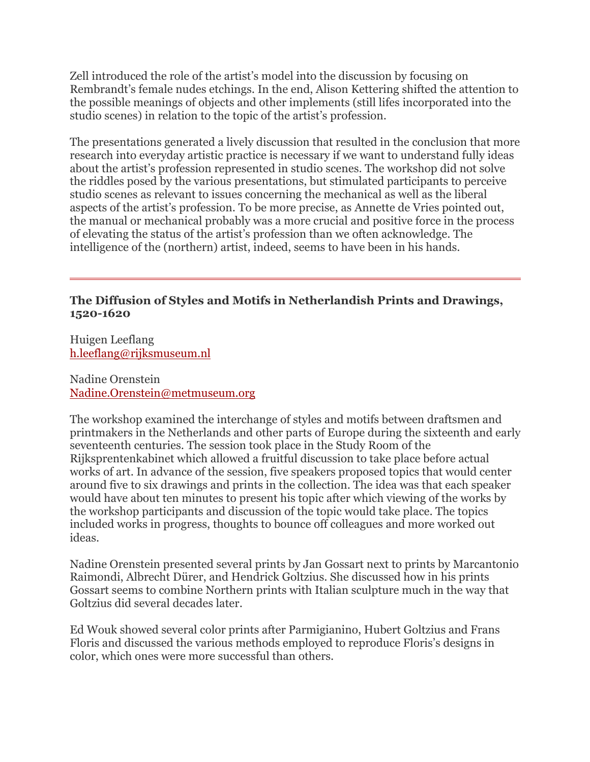Zell introduced the role of the artist's model into the discussion by focusing on Rembrandt's female nudes etchings. In the end, Alison Kettering shifted the attention to the possible meanings of objects and other implements (still lifes incorporated into the studio scenes) in relation to the topic of the artist's profession.

The presentations generated a lively discussion that resulted in the conclusion that more research into everyday artistic practice is necessary if we want to understand fully ideas about the artist's profession represented in studio scenes. The workshop did not solve the riddles posed by the various presentations, but stimulated participants to perceive studio scenes as relevant to issues concerning the mechanical as well as the liberal aspects of the artist's profession. To be more precise, as Annette de Vries pointed out, the manual or mechanical probably was a more crucial and positive force in the process of elevating the status of the artist's profession than we often acknowledge. The intelligence of the (northern) artist, indeed, seems to have been in his hands.

### **The Diffusion of Styles and Motifs in Netherlandish Prints and Drawings, 1520-1620**

Huigen Leeflang h.leeflang@rijksmuseum.nl

Nadine Orenstein Nadine.Orenstein@metmuseum.org

The workshop examined the interchange of styles and motifs between draftsmen and printmakers in the Netherlands and other parts of Europe during the sixteenth and early seventeenth centuries. The session took place in the Study Room of the Rijksprentenkabinet which allowed a fruitful discussion to take place before actual works of art. In advance of the session, five speakers proposed topics that would center around five to six drawings and prints in the collection. The idea was that each speaker would have about ten minutes to present his topic after which viewing of the works by the workshop participants and discussion of the topic would take place. The topics included works in progress, thoughts to bounce off colleagues and more worked out ideas.

Nadine Orenstein presented several prints by Jan Gossart next to prints by Marcantonio Raimondi, Albrecht Dürer, and Hendrick Goltzius. She discussed how in his prints Gossart seems to combine Northern prints with Italian sculpture much in the way that Goltzius did several decades later.

Ed Wouk showed several color prints after Parmigianino, Hubert Goltzius and Frans Floris and discussed the various methods employed to reproduce Floris's designs in color, which ones were more successful than others.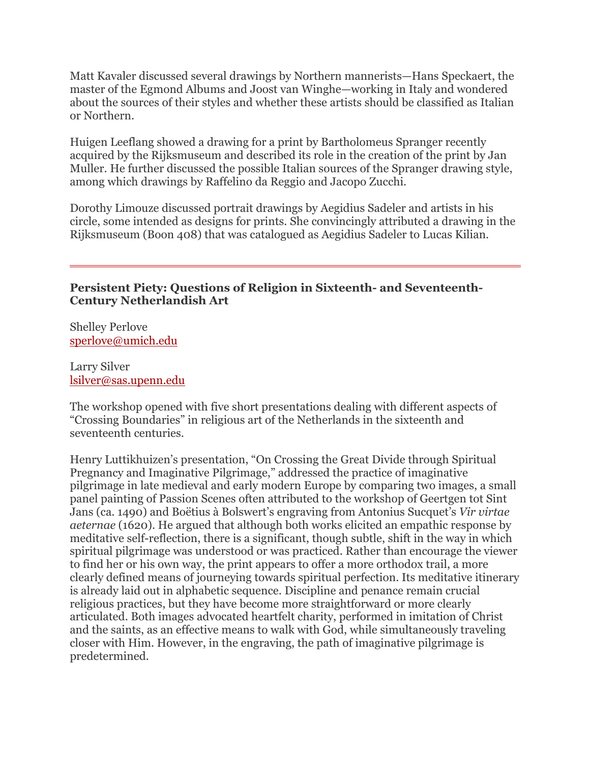Matt Kavaler discussed several drawings by Northern mannerists—Hans Speckaert, the master of the Egmond Albums and Joost van Winghe—working in Italy and wondered about the sources of their styles and whether these artists should be classified as Italian or Northern.

Huigen Leeflang showed a drawing for a print by Bartholomeus Spranger recently acquired by the Rijksmuseum and described its role in the creation of the print by Jan Muller. He further discussed the possible Italian sources of the Spranger drawing style, among which drawings by Raffelino da Reggio and Jacopo Zucchi.

Dorothy Limouze discussed portrait drawings by Aegidius Sadeler and artists in his circle, some intended as designs for prints. She convincingly attributed a drawing in the Rijksmuseum (Boon 408) that was catalogued as Aegidius Sadeler to Lucas Kilian.

## **Persistent Piety: Questions of Religion in Sixteenth- and Seventeenth-Century Netherlandish Art**

Shelley Perlove sperlove@umich.edu

Larry Silver lsilver@sas.upenn.edu

The workshop opened with five short presentations dealing with different aspects of "Crossing Boundaries" in religious art of the Netherlands in the sixteenth and seventeenth centuries.

Henry Luttikhuizen's presentation, "On Crossing the Great Divide through Spiritual Pregnancy and Imaginative Pilgrimage," addressed the practice of imaginative pilgrimage in late medieval and early modern Europe by comparing two images, a small panel painting of Passion Scenes often attributed to the workshop of Geertgen tot Sint Jans (ca. 1490) and Boëtius à Bolswert's engraving from Antonius Sucquet's *Vir virtae aeternae* (1620). He argued that although both works elicited an empathic response by meditative self-reflection, there is a significant, though subtle, shift in the way in which spiritual pilgrimage was understood or was practiced. Rather than encourage the viewer to find her or his own way, the print appears to offer a more orthodox trail, a more clearly defined means of journeying towards spiritual perfection. Its meditative itinerary is already laid out in alphabetic sequence. Discipline and penance remain crucial religious practices, but they have become more straightforward or more clearly articulated. Both images advocated heartfelt charity, performed in imitation of Christ and the saints, as an effective means to walk with God, while simultaneously traveling closer with Him. However, in the engraving, the path of imaginative pilgrimage is predetermined.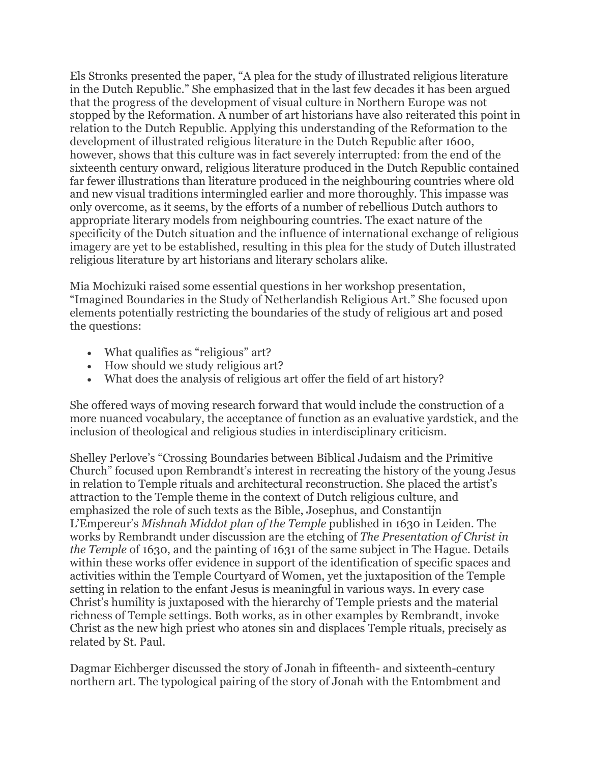Els Stronks presented the paper, "A plea for the study of illustrated religious literature in the Dutch Republic." She emphasized that in the last few decades it has been argued that the progress of the development of visual culture in Northern Europe was not stopped by the Reformation. A number of art historians have also reiterated this point in relation to the Dutch Republic. Applying this understanding of the Reformation to the development of illustrated religious literature in the Dutch Republic after 1600, however, shows that this culture was in fact severely interrupted: from the end of the sixteenth century onward, religious literature produced in the Dutch Republic contained far fewer illustrations than literature produced in the neighbouring countries where old and new visual traditions intermingled earlier and more thoroughly. This impasse was only overcome, as it seems, by the efforts of a number of rebellious Dutch authors to appropriate literary models from neighbouring countries. The exact nature of the specificity of the Dutch situation and the influence of international exchange of religious imagery are yet to be established, resulting in this plea for the study of Dutch illustrated religious literature by art historians and literary scholars alike.

Mia Mochizuki raised some essential questions in her workshop presentation, "Imagined Boundaries in the Study of Netherlandish Religious Art." She focused upon elements potentially restricting the boundaries of the study of religious art and posed the questions:

- What qualifies as "religious" art?
- How should we study religious art?
- What does the analysis of religious art offer the field of art history?

She offered ways of moving research forward that would include the construction of a more nuanced vocabulary, the acceptance of function as an evaluative yardstick, and the inclusion of theological and religious studies in interdisciplinary criticism.

Shelley Perlove's "Crossing Boundaries between Biblical Judaism and the Primitive Church" focused upon Rembrandt's interest in recreating the history of the young Jesus in relation to Temple rituals and architectural reconstruction. She placed the artist's attraction to the Temple theme in the context of Dutch religious culture, and emphasized the role of such texts as the Bible, Josephus, and Constantijn L'Empereur's *Mishnah Middot plan of the Temple* published in 1630 in Leiden. The works by Rembrandt under discussion are the etching of *The Presentation of Christ in the Temple* of 1630, and the painting of 1631 of the same subject in The Hague. Details within these works offer evidence in support of the identification of specific spaces and activities within the Temple Courtyard of Women, yet the juxtaposition of the Temple setting in relation to the enfant Jesus is meaningful in various ways. In every case Christ's humility is juxtaposed with the hierarchy of Temple priests and the material richness of Temple settings. Both works, as in other examples by Rembrandt, invoke Christ as the new high priest who atones sin and displaces Temple rituals, precisely as related by St. Paul.

Dagmar Eichberger discussed the story of Jonah in fifteenth- and sixteenth-century northern art. The typological pairing of the story of Jonah with the Entombment and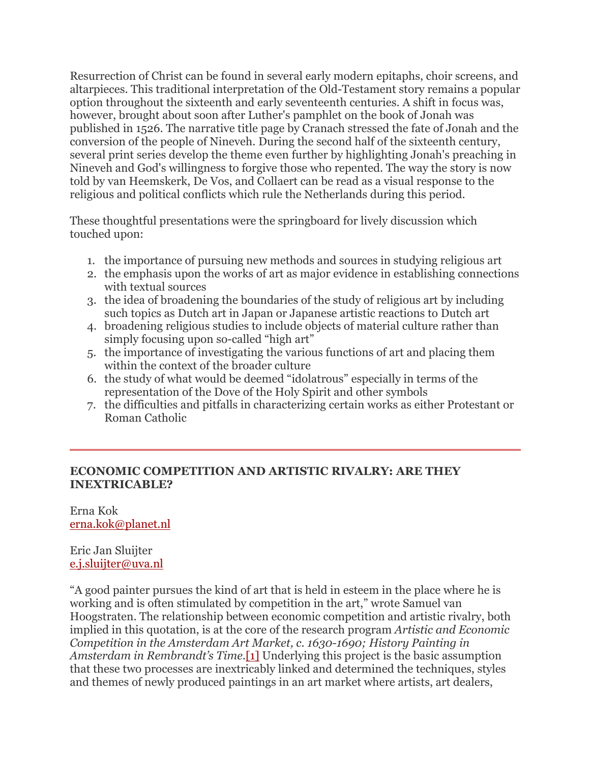Resurrection of Christ can be found in several early modern epitaphs, choir screens, and altarpieces. This traditional interpretation of the Old-Testament story remains a popular option throughout the sixteenth and early seventeenth centuries. A shift in focus was, however, brought about soon after Luther's pamphlet on the book of Jonah was published in 1526. The narrative title page by Cranach stressed the fate of Jonah and the conversion of the people of Nineveh. During the second half of the sixteenth century, several print series develop the theme even further by highlighting Jonah's preaching in Nineveh and God's willingness to forgive those who repented. The way the story is now told by van Heemskerk, De Vos, and Collaert can be read as a visual response to the religious and political conflicts which rule the Netherlands during this period.

These thoughtful presentations were the springboard for lively discussion which touched upon:

- 1. the importance of pursuing new methods and sources in studying religious art
- 2. the emphasis upon the works of art as major evidence in establishing connections with textual sources
- 3. the idea of broadening the boundaries of the study of religious art by including such topics as Dutch art in Japan or Japanese artistic reactions to Dutch art
- 4. broadening religious studies to include objects of material culture rather than simply focusing upon so-called "high art"
- 5. the importance of investigating the various functions of art and placing them within the context of the broader culture
- 6. the study of what would be deemed "idolatrous" especially in terms of the representation of the Dove of the Holy Spirit and other symbols
- 7. the difficulties and pitfalls in characterizing certain works as either Protestant or Roman Catholic

### **ECONOMIC COMPETITION AND ARTISTIC RIVALRY: ARE THEY INEXTRICABLE?**

Erna Kok erna.kok@planet.nl

Eric Jan Sluijter e.j.sluijter@uva.nl

"A good painter pursues the kind of art that is held in esteem in the place where he is working and is often stimulated by competition in the art," wrote Samuel van Hoogstraten. The relationship between economic competition and artistic rivalry, both implied in this quotation, is at the core of the research program *Artistic and Economic Competition in the Amsterdam Art Market, c. 1630-1690; History Painting in Amsterdam in Rembrandt's Time*.[1] Underlying this project is the basic assumption that these two processes are inextricably linked and determined the techniques, styles and themes of newly produced paintings in an art market where artists, art dealers,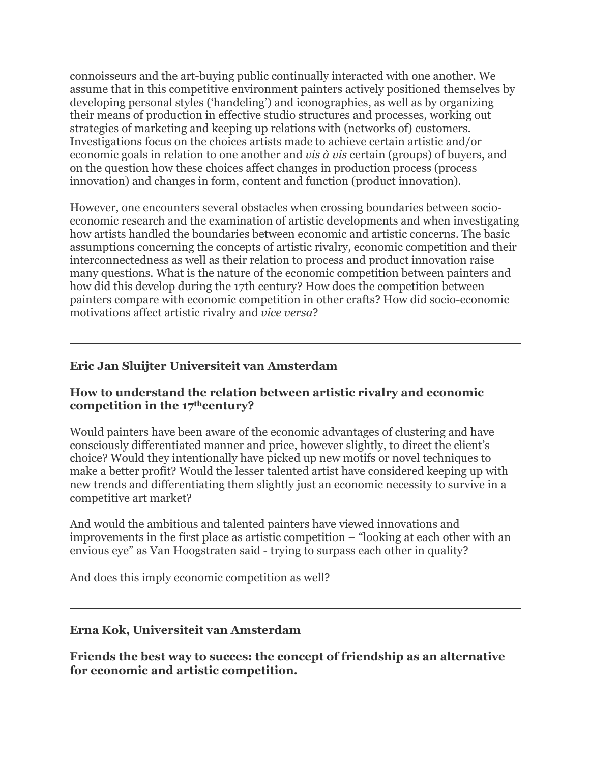connoisseurs and the art-buying public continually interacted with one another. We assume that in this competitive environment painters actively positioned themselves by developing personal styles ('handeling') and iconographies, as well as by organizing their means of production in effective studio structures and processes, working out strategies of marketing and keeping up relations with (networks of) customers. Investigations focus on the choices artists made to achieve certain artistic and/or economic goals in relation to one another and *vis à vis* certain (groups) of buyers, and on the question how these choices affect changes in production process (process innovation) and changes in form, content and function (product innovation).

However, one encounters several obstacles when crossing boundaries between socioeconomic research and the examination of artistic developments and when investigating how artists handled the boundaries between economic and artistic concerns. The basic assumptions concerning the concepts of artistic rivalry, economic competition and their interconnectedness as well as their relation to process and product innovation raise many questions. What is the nature of the economic competition between painters and how did this develop during the 17th century? How does the competition between painters compare with economic competition in other crafts? How did socio-economic motivations affect artistic rivalry and *vice versa*?

# **Eric Jan Sluijter Universiteit van Amsterdam**

### **How to understand the relation between artistic rivalry and economic competition in the 17thcentury?**

Would painters have been aware of the economic advantages of clustering and have consciously differentiated manner and price, however slightly, to direct the client's choice? Would they intentionally have picked up new motifs or novel techniques to make a better profit? Would the lesser talented artist have considered keeping up with new trends and differentiating them slightly just an economic necessity to survive in a competitive art market?

And would the ambitious and talented painters have viewed innovations and improvements in the first place as artistic competition – "looking at each other with an envious eye" as Van Hoogstraten said - trying to surpass each other in quality?

And does this imply economic competition as well?

### **Erna Kok, Universiteit van Amsterdam**

**Friends the best way to succes: the concept of friendship as an alternative for economic and artistic competition.**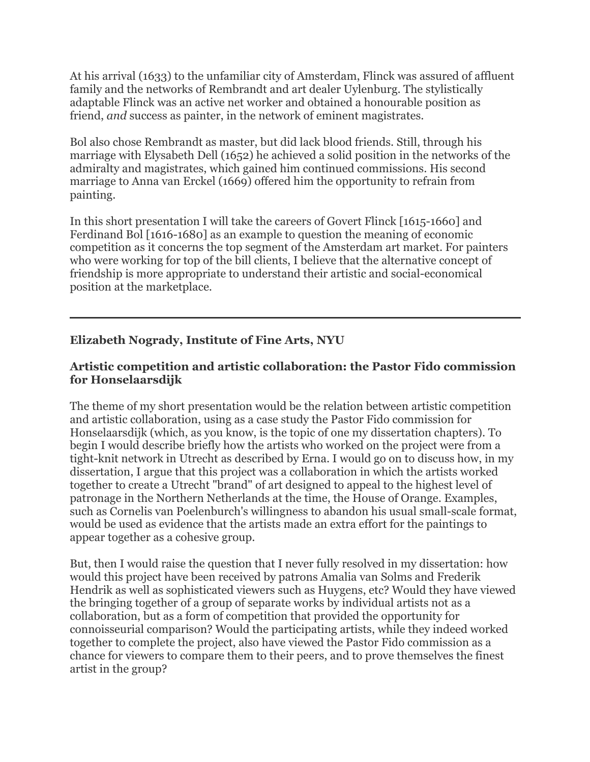At his arrival (1633) to the unfamiliar city of Amsterdam, Flinck was assured of affluent family and the networks of Rembrandt and art dealer Uylenburg. The stylistically adaptable Flinck was an active net worker and obtained a honourable position as friend, *and* success as painter, in the network of eminent magistrates.

Bol also chose Rembrandt as master, but did lack blood friends. Still, through his marriage with Elysabeth Dell (1652) he achieved a solid position in the networks of the admiralty and magistrates, which gained him continued commissions. His second marriage to Anna van Erckel (1669) offered him the opportunity to refrain from painting.

In this short presentation I will take the careers of Govert Flinck [1615-1660] and Ferdinand Bol [1616-1680] as an example to question the meaning of economic competition as it concerns the top segment of the Amsterdam art market. For painters who were working for top of the bill clients, I believe that the alternative concept of friendship is more appropriate to understand their artistic and social-economical position at the marketplace.

# **Elizabeth Nogrady, Institute of Fine Arts, NYU**

# **Artistic competition and artistic collaboration: the Pastor Fido commission for Honselaarsdijk**

The theme of my short presentation would be the relation between artistic competition and artistic collaboration, using as a case study the Pastor Fido commission for Honselaarsdijk (which, as you know, is the topic of one my dissertation chapters). To begin I would describe briefly how the artists who worked on the project were from a tight-knit network in Utrecht as described by Erna. I would go on to discuss how, in my dissertation, I argue that this project was a collaboration in which the artists worked together to create a Utrecht "brand" of art designed to appeal to the highest level of patronage in the Northern Netherlands at the time, the House of Orange. Examples, such as Cornelis van Poelenburch's willingness to abandon his usual small-scale format, would be used as evidence that the artists made an extra effort for the paintings to appear together as a cohesive group.

But, then I would raise the question that I never fully resolved in my dissertation: how would this project have been received by patrons Amalia van Solms and Frederik Hendrik as well as sophisticated viewers such as Huygens, etc? Would they have viewed the bringing together of a group of separate works by individual artists not as a collaboration, but as a form of competition that provided the opportunity for connoisseurial comparison? Would the participating artists, while they indeed worked together to complete the project, also have viewed the Pastor Fido commission as a chance for viewers to compare them to their peers, and to prove themselves the finest artist in the group?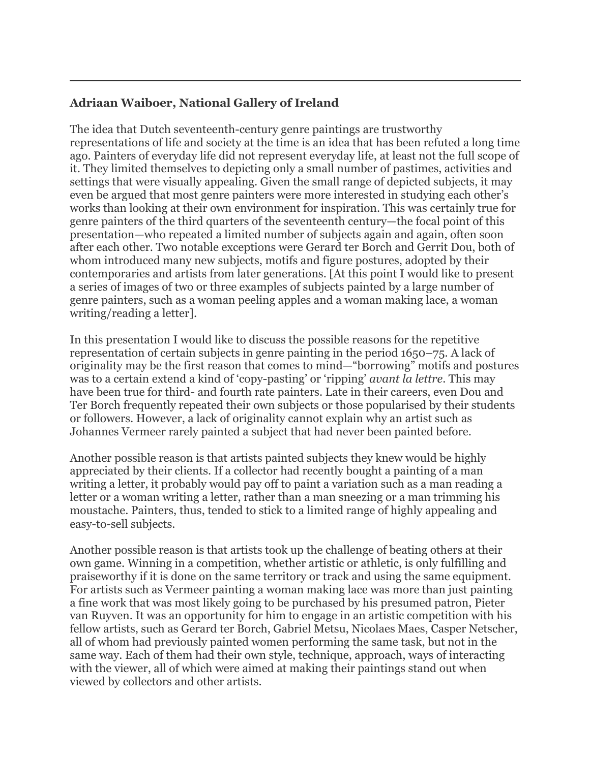# **Adriaan Waiboer, National Gallery of Ireland**

The idea that Dutch seventeenth-century genre paintings are trustworthy representations of life and society at the time is an idea that has been refuted a long time ago. Painters of everyday life did not represent everyday life, at least not the full scope of it. They limited themselves to depicting only a small number of pastimes, activities and settings that were visually appealing. Given the small range of depicted subjects, it may even be argued that most genre painters were more interested in studying each other's works than looking at their own environment for inspiration. This was certainly true for genre painters of the third quarters of the seventeenth century—the focal point of this presentation—who repeated a limited number of subjects again and again, often soon after each other. Two notable exceptions were Gerard ter Borch and Gerrit Dou, both of whom introduced many new subjects, motifs and figure postures, adopted by their contemporaries and artists from later generations. [At this point I would like to present a series of images of two or three examples of subjects painted by a large number of genre painters, such as a woman peeling apples and a woman making lace, a woman writing/reading a letter].

In this presentation I would like to discuss the possible reasons for the repetitive representation of certain subjects in genre painting in the period 1650–75. A lack of originality may be the first reason that comes to mind—"borrowing" motifs and postures was to a certain extend a kind of 'copy-pasting' or 'ripping' *avant la lettre*. This may have been true for third- and fourth rate painters. Late in their careers, even Dou and Ter Borch frequently repeated their own subjects or those popularised by their students or followers. However, a lack of originality cannot explain why an artist such as Johannes Vermeer rarely painted a subject that had never been painted before.

Another possible reason is that artists painted subjects they knew would be highly appreciated by their clients. If a collector had recently bought a painting of a man writing a letter, it probably would pay off to paint a variation such as a man reading a letter or a woman writing a letter, rather than a man sneezing or a man trimming his moustache. Painters, thus, tended to stick to a limited range of highly appealing and easy-to-sell subjects.

Another possible reason is that artists took up the challenge of beating others at their own game. Winning in a competition, whether artistic or athletic, is only fulfilling and praiseworthy if it is done on the same territory or track and using the same equipment. For artists such as Vermeer painting a woman making lace was more than just painting a fine work that was most likely going to be purchased by his presumed patron, Pieter van Ruyven. It was an opportunity for him to engage in an artistic competition with his fellow artists, such as Gerard ter Borch, Gabriel Metsu, Nicolaes Maes, Casper Netscher, all of whom had previously painted women performing the same task, but not in the same way. Each of them had their own style, technique, approach, ways of interacting with the viewer, all of which were aimed at making their paintings stand out when viewed by collectors and other artists.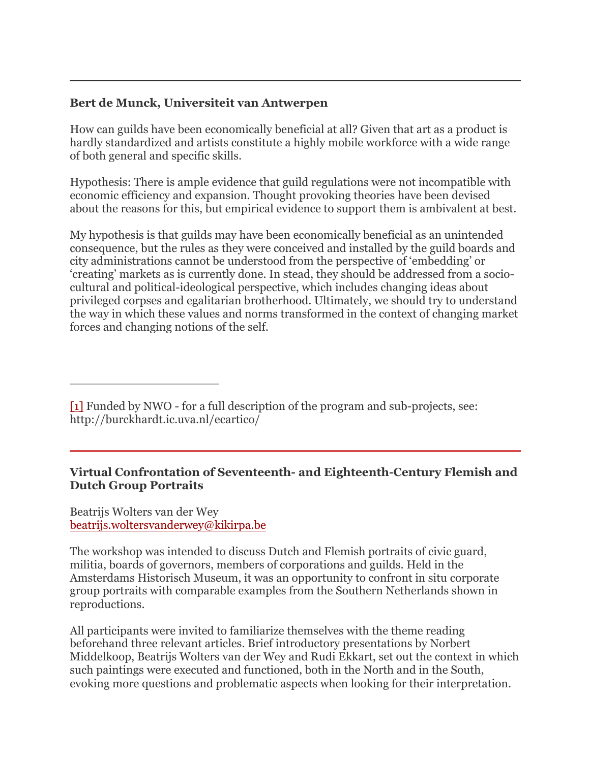## **Bert de Munck, Universiteit van Antwerpen**

How can guilds have been economically beneficial at all? Given that art as a product is hardly standardized and artists constitute a highly mobile workforce with a wide range of both general and specific skills.

Hypothesis: There is ample evidence that guild regulations were not incompatible with economic efficiency and expansion. Thought provoking theories have been devised about the reasons for this, but empirical evidence to support them is ambivalent at best.

My hypothesis is that guilds may have been economically beneficial as an unintended consequence, but the rules as they were conceived and installed by the guild boards and city administrations cannot be understood from the perspective of 'embedding' or 'creating' markets as is currently done. In stead, they should be addressed from a sociocultural and political-ideological perspective, which includes changing ideas about privileged corpses and egalitarian brotherhood. Ultimately, we should try to understand the way in which these values and norms transformed in the context of changing market forces and changing notions of the self.

[1] Funded by NWO - for a full description of the program and sub-projects, see: http://burckhardt.ic.uva.nl/ecartico/

## **Virtual Confrontation of Seventeenth- and Eighteenth-Century Flemish and Dutch Group Portraits**

Beatrijs Wolters van der Wey beatrijs.woltersvanderwey@kikirpa.be

The workshop was intended to discuss Dutch and Flemish portraits of civic guard, militia, boards of governors, members of corporations and guilds. Held in the Amsterdams Historisch Museum, it was an opportunity to confront in situ corporate group portraits with comparable examples from the Southern Netherlands shown in reproductions.

All participants were invited to familiarize themselves with the theme reading beforehand three relevant articles. Brief introductory presentations by Norbert Middelkoop, Beatrijs Wolters van der Wey and Rudi Ekkart, set out the context in which such paintings were executed and functioned, both in the North and in the South, evoking more questions and problematic aspects when looking for their interpretation.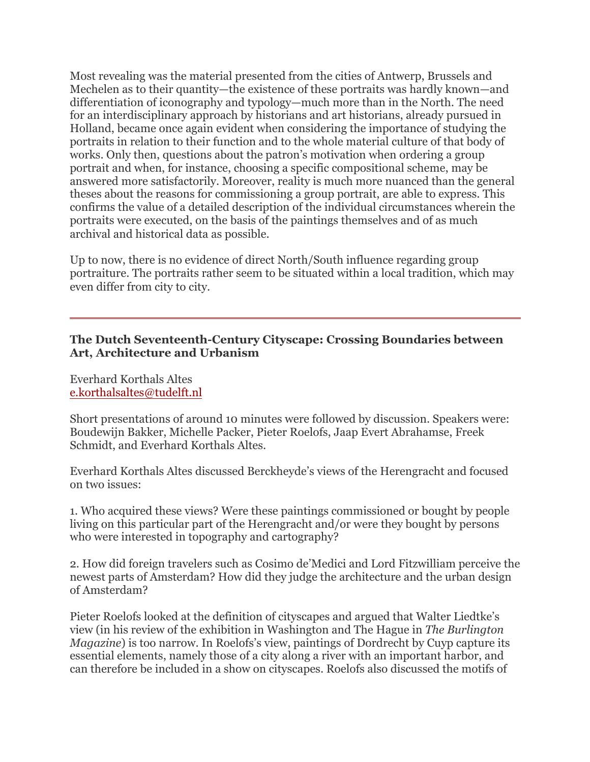Most revealing was the material presented from the cities of Antwerp, Brussels and Mechelen as to their quantity—the existence of these portraits was hardly known—and differentiation of iconography and typology—much more than in the North. The need for an interdisciplinary approach by historians and art historians, already pursued in Holland, became once again evident when considering the importance of studying the portraits in relation to their function and to the whole material culture of that body of works. Only then, questions about the patron's motivation when ordering a group portrait and when, for instance, choosing a specific compositional scheme, may be answered more satisfactorily. Moreover, reality is much more nuanced than the general theses about the reasons for commissioning a group portrait, are able to express. This confirms the value of a detailed description of the individual circumstances wherein the portraits were executed, on the basis of the paintings themselves and of as much archival and historical data as possible.

Up to now, there is no evidence of direct North/South influence regarding group portraiture. The portraits rather seem to be situated within a local tradition, which may even differ from city to city.

### **The Dutch Seventeenth-Century Cityscape: Crossing Boundaries between Art, Architecture and Urbanism**

Everhard Korthals Altes e.korthalsaltes@tudelft.nl

Short presentations of around 10 minutes were followed by discussion. Speakers were: Boudewijn Bakker, Michelle Packer, Pieter Roelofs, Jaap Evert Abrahamse, Freek Schmidt, and Everhard Korthals Altes.

Everhard Korthals Altes discussed Berckheyde's views of the Herengracht and focused on two issues:

1. Who acquired these views? Were these paintings commissioned or bought by people living on this particular part of the Herengracht and/or were they bought by persons who were interested in topography and cartography?

2. How did foreign travelers such as Cosimo de'Medici and Lord Fitzwilliam perceive the newest parts of Amsterdam? How did they judge the architecture and the urban design of Amsterdam?

Pieter Roelofs looked at the definition of cityscapes and argued that Walter Liedtke's view (in his review of the exhibition in Washington and The Hague in *The Burlington Magazine*) is too narrow. In Roelofs's view, paintings of Dordrecht by Cuyp capture its essential elements, namely those of a city along a river with an important harbor, and can therefore be included in a show on cityscapes. Roelofs also discussed the motifs of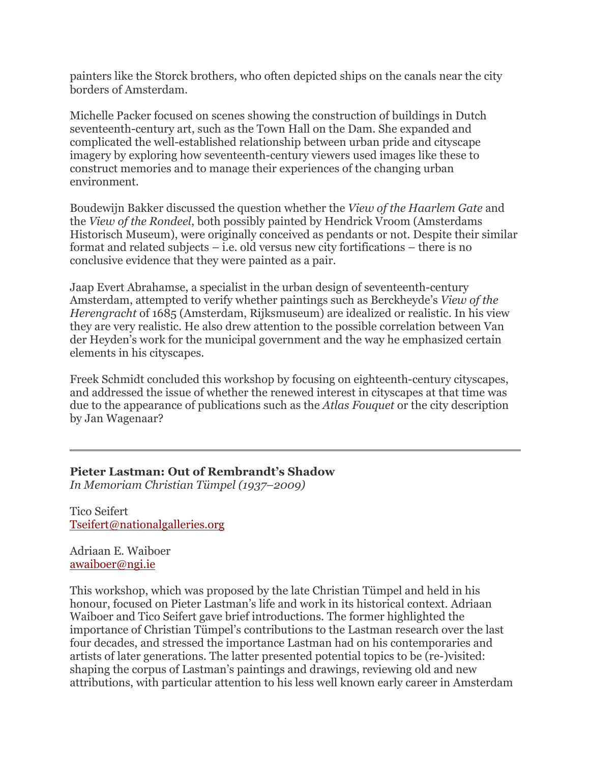painters like the Storck brothers, who often depicted ships on the canals near the city borders of Amsterdam.

Michelle Packer focused on scenes showing the construction of buildings in Dutch seventeenth-century art, such as the Town Hall on the Dam. She expanded and complicated the well-established relationship between urban pride and cityscape imagery by exploring how seventeenth-century viewers used images like these to construct memories and to manage their experiences of the changing urban environment.

Boudewijn Bakker discussed the question whether the *View of the Haarlem Gate* and the *View of the Rondeel*, both possibly painted by Hendrick Vroom (Amsterdams Historisch Museum), were originally conceived as pendants or not. Despite their similar format and related subjects – i.e. old versus new city fortifications – there is no conclusive evidence that they were painted as a pair.

Jaap Evert Abrahamse, a specialist in the urban design of seventeenth-century Amsterdam, attempted to verify whether paintings such as Berckheyde's *View of the Herengracht* of 1685 (Amsterdam, Rijksmuseum) are idealized or realistic. In his view they are very realistic. He also drew attention to the possible correlation between Van der Heyden's work for the municipal government and the way he emphasized certain elements in his cityscapes.

Freek Schmidt concluded this workshop by focusing on eighteenth-century cityscapes, and addressed the issue of whether the renewed interest in cityscapes at that time was due to the appearance of publications such as the *Atlas Fouquet* or the city description by Jan Wagenaar?

## **Pieter Lastman: Out of Rembrandt's Shadow**

*In Memoriam Christian Tümpel (1937–2009)*

Tico Seifert Tseifert@nationalgalleries.org

Adriaan E. Waiboer awaiboer@ngi.ie

This workshop, which was proposed by the late Christian Tümpel and held in his honour, focused on Pieter Lastman's life and work in its historical context. Adriaan Waiboer and Tico Seifert gave brief introductions. The former highlighted the importance of Christian Tümpel's contributions to the Lastman research over the last four decades, and stressed the importance Lastman had on his contemporaries and artists of later generations. The latter presented potential topics to be (re-)visited: shaping the corpus of Lastman's paintings and drawings, reviewing old and new attributions, with particular attention to his less well known early career in Amsterdam